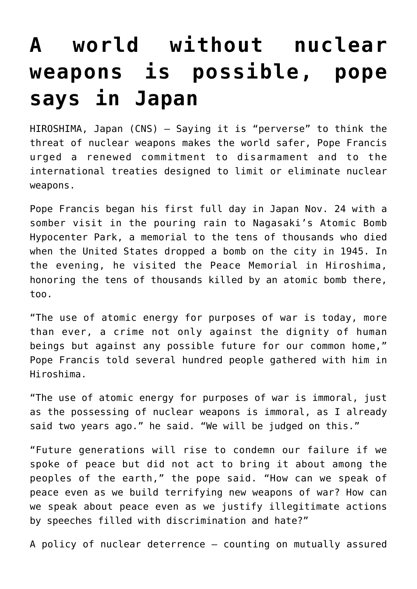## **[A world without nuclear](https://www.osvnews.com/2019/11/25/a-world-without-nuclear-weapons-is-possible-pope-says-in-japan/) [weapons is possible, pope](https://www.osvnews.com/2019/11/25/a-world-without-nuclear-weapons-is-possible-pope-says-in-japan/) [says in Japan](https://www.osvnews.com/2019/11/25/a-world-without-nuclear-weapons-is-possible-pope-says-in-japan/)**

HIROSHIMA, Japan (CNS) — Saying it is "perverse" to think the threat of nuclear weapons makes the world safer, Pope Francis urged a renewed commitment to disarmament and to the international treaties designed to limit or eliminate nuclear weapons.

Pope Francis began his first full day in Japan Nov. 24 with a somber visit in the pouring rain to Nagasaki's Atomic Bomb Hypocenter Park, a memorial to the tens of thousands who died when the United States dropped a bomb on the city in 1945. In the evening, he visited the Peace Memorial in Hiroshima, honoring the tens of thousands killed by an atomic bomb there, too.

"The use of atomic energy for purposes of war is today, more than ever, a crime not only against the dignity of human beings but against any possible future for our common home," Pope Francis told several hundred people gathered with him in Hiroshima.

"The use of atomic energy for purposes of war is immoral, just as the possessing of nuclear weapons is immoral, as I already said two years ago." he said. "We will be judged on this."

"Future generations will rise to condemn our failure if we spoke of peace but did not act to bring it about among the peoples of the earth," the pope said. "How can we speak of peace even as we build terrifying new weapons of war? How can we speak about peace even as we justify illegitimate actions by speeches filled with discrimination and hate?"

A policy of nuclear deterrence — counting on mutually assured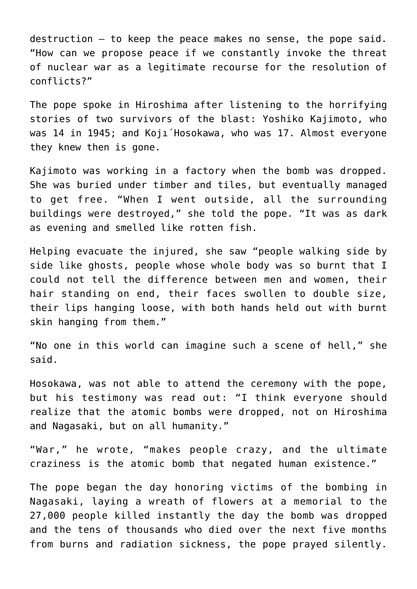destruction — to keep the peace makes no sense, the pope said. "How can we propose peace if we constantly invoke the threat of nuclear war as a legitimate recourse for the resolution of conflicts?"

The pope spoke in Hiroshima after listening to the horrifying stories of two survivors of the blast: Yoshiko Kajimoto, who was 14 in 1945; and Koji<sup>'</sup> Hosokawa, who was 17. Almost everyone they knew then is gone.

Kajimoto was working in a factory when the bomb was dropped. She was buried under timber and tiles, but eventually managed to get free. "When I went outside, all the surrounding buildings were destroyed," she told the pope. "It was as dark as evening and smelled like rotten fish.

Helping evacuate the injured, she saw "people walking side by side like ghosts, people whose whole body was so burnt that I could not tell the difference between men and women, their hair standing on end, their faces swollen to double size, their lips hanging loose, with both hands held out with burnt skin hanging from them."

"No one in this world can imagine such a scene of hell," she said.

Hosokawa, was not able to attend the ceremony with the pope, but his testimony was read out: "I think everyone should realize that the atomic bombs were dropped, not on Hiroshima and Nagasaki, but on all humanity."

"War," he wrote, "makes people crazy, and the ultimate craziness is the atomic bomb that negated human existence."

The pope began the day honoring victims of the bombing in Nagasaki, laying a wreath of flowers at a memorial to the 27,000 people killed instantly the day the bomb was dropped and the tens of thousands who died over the next five months from burns and radiation sickness, the pope prayed silently.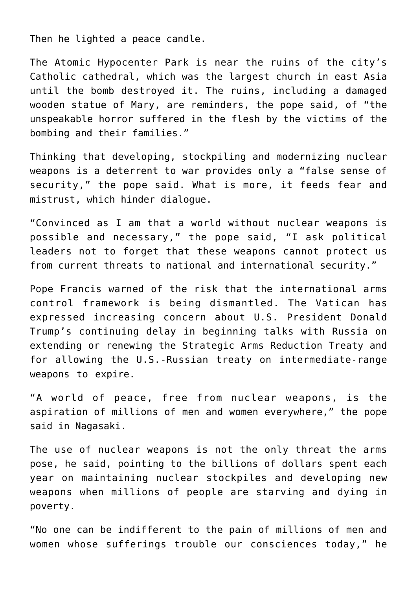Then he lighted a peace candle.

The Atomic Hypocenter Park is near the ruins of the city's Catholic cathedral, which was the largest church in east Asia until the bomb destroyed it. The ruins, including a damaged wooden statue of Mary, are reminders, the pope said, of "the unspeakable horror suffered in the flesh by the victims of the bombing and their families."

Thinking that developing, stockpiling and modernizing nuclear weapons is a deterrent to war provides only a "false sense of security," the pope said. What is more, it feeds fear and mistrust, which hinder dialogue.

"Convinced as I am that a world without nuclear weapons is possible and necessary," the pope said, "I ask political leaders not to forget that these weapons cannot protect us from current threats to national and international security."

Pope Francis warned of the risk that the international arms control framework is being dismantled. The Vatican has expressed increasing concern about U.S. President Donald Trump's continuing delay in beginning talks with Russia on extending or renewing the Strategic Arms Reduction Treaty and for allowing the U.S.-Russian treaty on intermediate-range weapons to expire.

"A world of peace, free from nuclear weapons, is the aspiration of millions of men and women everywhere," the pope said in Nagasaki.

The use of nuclear weapons is not the only threat the arms pose, he said, pointing to the billions of dollars spent each year on maintaining nuclear stockpiles and developing new weapons when millions of people are starving and dying in poverty.

"No one can be indifferent to the pain of millions of men and women whose sufferings trouble our consciences today," he